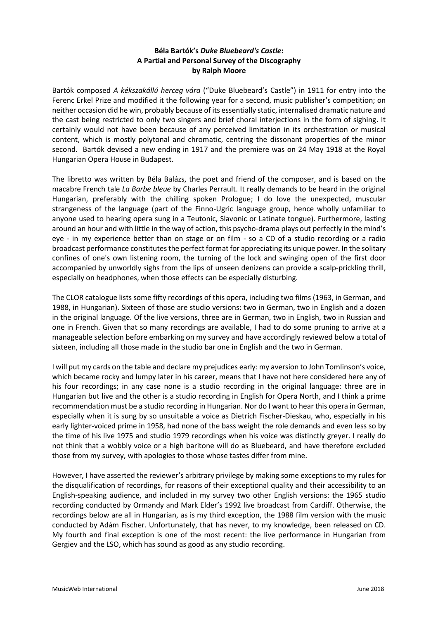# **Béla Bartók's** *Duke Bluebeard's Castle***: A Partial and Personal Survey of the Discography by Ralph Moore**

Bartók composed *A kékszakállú herceg vára* ("Duke Bluebeard's Castle") in 1911 for entry into the Ferenc Erkel Prize and modified it the following year for a second, music publisher's competition; on neither occasion did he win, probably because of its essentially static, internalised dramatic nature and the cast being restricted to only two singers and brief choral interjections in the form of sighing. It certainly would not have been because of any perceived limitation in its orchestration or musical content, which is mostly polytonal and chromatic, centring the dissonant properties of the minor second. Bartók devised a new ending in 1917 and the premiere was on 24 May 1918 at the Royal Hungarian Opera House in Budapest.

The libretto was written by Béla Balázs, the poet and friend of the composer, and is based on the macabre French tale *La Barbe bleue* by Charles Perrault. It really demands to be heard in the original Hungarian, preferably with the chilling spoken Prologue; I do love the unexpected, muscular strangeness of the language (part of the Finno-Ugric language group, hence wholly unfamiliar to anyone used to hearing opera sung in a Teutonic, Slavonic or Latinate tongue). Furthermore, lasting around an hour and with little in the way of action, this psycho-drama plays out perfectly in the mind's eye - in my experience better than on stage or on film - so a CD of a studio recording or a radio broadcast performance constitutes the perfect format for appreciating its unique power. In the solitary confines of one's own listening room, the turning of the lock and swinging open of the first door accompanied by unworldly sighs from the lips of unseen denizens can provide a scalp-prickling thrill, especially on headphones, when those effects can be especially disturbing.

The CLOR catalogue lists some fifty recordings of this opera, including two films (1963, in German, and 1988, in Hungarian). Sixteen of those are studio versions: two in German, two in English and a dozen in the original language. Of the live versions, three are in German, two in English, two in Russian and one in French. Given that so many recordings are available, I had to do some pruning to arrive at a manageable selection before embarking on my survey and have accordingly reviewed below a total of sixteen, including all those made in the studio bar one in English and the two in German.

I will put my cards on the table and declare my prejudices early: my aversion to John Tomlinson's voice, which became rocky and lumpy later in his career, means that I have not here considered here any of his four recordings; in any case none is a studio recording in the original language: three are in Hungarian but live and the other is a studio recording in English for Opera North, and I think a prime recommendation must be a studio recording in Hungarian. Nor do I want to hear this opera in German, especially when it is sung by so unsuitable a voice as Dietrich Fischer-Dieskau, who, especially in his early lighter-voiced prime in 1958, had none of the bass weight the role demands and even less so by the time of his live 1975 and studio 1979 recordings when his voice was distinctly greyer. I really do not think that a wobbly voice or a high baritone will do as Bluebeard, and have therefore excluded those from my survey, with apologies to those whose tastes differ from mine.

However, I have asserted the reviewer's arbitrary privilege by making some exceptions to my rules for the disqualification of recordings, for reasons of their exceptional quality and their accessibility to an English-speaking audience, and included in my survey two other English versions: the 1965 studio recording conducted by Ormandy and Mark Elder's 1992 live broadcast from Cardiff. Otherwise, the recordings below are all in Hungarian, as is my third exception, the 1988 film version with the music conducted by Adám Fischer. Unfortunately, that has never, to my knowledge, been released on CD. My fourth and final exception is one of the most recent: the live performance in Hungarian from Gergiev and the LSO, which has sound as good as any studio recording.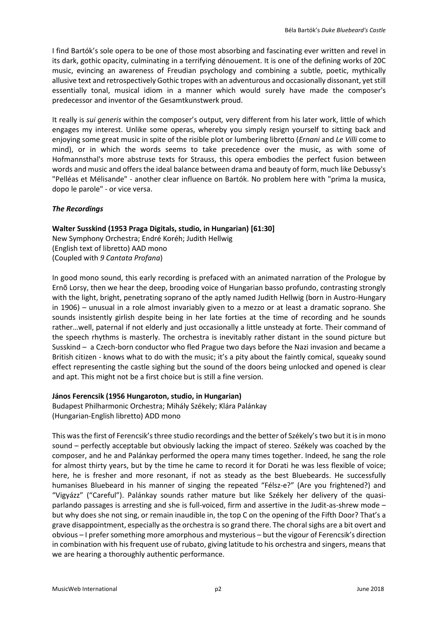I find Bartók's sole opera to be one of those most absorbing and fascinating ever written and revel in its dark, gothic opacity, culminating in a terrifying dénouement. It is one of the defining works of 20C music, evincing an awareness of Freudian psychology and combining a subtle, poetic, mythically allusive text and retrospectively Gothic tropes with an adventurous and occasionally dissonant, yet still essentially tonal, musical idiom in a manner which would surely have made the composer's predecessor and inventor of the Gesamtkunstwerk proud.

It really is *sui generis* within the composer's output*,* very different from his later work, little of which engages my interest. Unlike some operas, whereby you simply resign yourself to sitting back and enjoying some great music in spite of the risible plot or lumbering libretto (*Ernani* and *Le Villi* come to mind), or in which the words seems to take precedence over the music, as with some of Hofmannsthal's more abstruse texts for Strauss, this opera embodies the perfect fusion between words and music and offers the ideal balance between drama and beauty of form, much like Debussy's "Pelléas et Mélisande" - another clear influence on Bartók. No problem here with "prima la musica, dopo le parole" - or vice versa.

## *The Recordings*

## **Walter Susskind (1953 Praga Digitals, studio, in Hungarian) [61:30]**

New Symphony Orchestra; Endré Koréh; Judith Hellwig (English text of libretto) AAD mono (Coupled with *9 Cantata Profana*)

In good mono sound, this early recording is prefaced with an animated narration of the Prologue by Ernõ Lorsy, then we hear the deep, brooding voice of Hungarian basso profundo, contrasting strongly with the light, bright, penetrating soprano of the aptly named Judith Hellwig (born in Austro-Hungary in 1906) – unusual in a role almost invariably given to a mezzo or at least a dramatic soprano. She sounds insistently girlish despite being in her late forties at the time of recording and he sounds rather…well, paternal if not elderly and just occasionally a little unsteady at forte. Their command of the speech rhythms is masterly. The orchestra is inevitably rather distant in the sound picture but Susskind – a Czech-born conductor who fled Prague two days before the Nazi invasion and became a British citizen - knows what to do with the music; it's a pity about the faintly comical, squeaky sound effect representing the castle sighing but the sound of the doors being unlocked and opened is clear and apt. This might not be a first choice but is still a fine version.

### **János Ferencsik (1956 Hungaroton, studio, in Hungarian)**

Budapest Philharmonic Orchestra; Mihály Székely; Klára Palánkay (Hungarian-English libretto) ADD mono

This wasthe first of Ferencsik's three studio recordings and the better of Székely's two but it is in mono sound – perfectly acceptable but obviously lacking the impact of stereo. Székely was coached by the composer, and he and Palánkay performed the opera many times together. Indeed, he sang the role for almost thirty years, but by the time he came to record it for Dorati he was less flexible of voice; here, he is fresher and more resonant, if not as steady as the best Bluebeards. He successfully humanises Bluebeard in his manner of singing the repeated "Félsz-e?" (Are you frightened?) and "Vigyázz" ("Careful"). Palánkay sounds rather mature but like Székely her delivery of the quasiparlando passages is arresting and she is full-voiced, firm and assertive in the Judit-as-shrew mode – but why does she not sing, or remain inaudible in, the top C on the opening of the Fifth Door? That's a grave disappointment, especially as the orchestra is so grand there. The choral sighs are a bit overt and obvious – I prefer something more amorphous and mysterious – but the vigour of Ferencsik's direction in combination with his frequent use of rubato, giving latitude to his orchestra and singers, means that we are hearing a thoroughly authentic performance.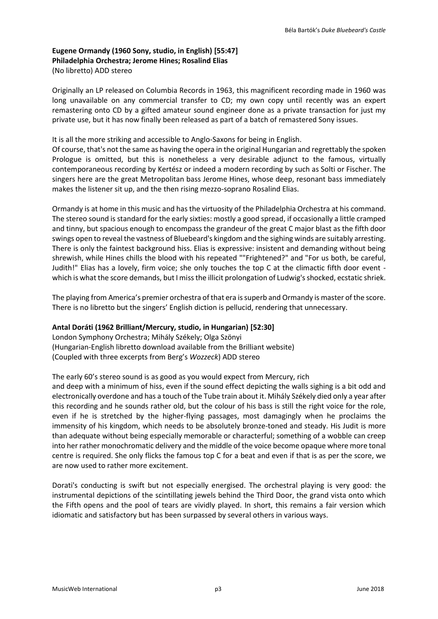# **Eugene Ormandy (1960 Sony, studio, in English) [55:47] Philadelphia Orchestra; Jerome Hines; Rosalind Elias** (No libretto) ADD stereo

Originally an LP released on Columbia Records in 1963, this magnificent recording made in 1960 was long unavailable on any commercial transfer to CD; my own copy until recently was an expert remastering onto CD by a gifted amateur sound engineer done as a private transaction for just my private use, but it has now finally been released as part of a batch of remastered Sony issues.

It is all the more striking and accessible to Anglo-Saxons for being in English.

Of course, that's not the same as having the opera in the original Hungarian and regrettably the spoken Prologue is omitted, but this is nonetheless a very desirable adjunct to the famous, virtually contemporaneous recording by Kertész or indeed a modern recording by such as Solti or Fischer. The singers here are the great Metropolitan bass Jerome Hines, whose deep, resonant bass immediately makes the listener sit up, and the then rising mezzo-soprano Rosalind Elias.

Ormandy is at home in this music and has the virtuosity of the Philadelphia Orchestra at his command. The stereo sound is standard for the early sixties: mostly a good spread, if occasionally a little cramped and tinny, but spacious enough to encompass the grandeur of the great C major blast as the fifth door swings open to reveal the vastness of Bluebeard's kingdom and the sighing winds are suitably arresting. There is only the faintest background hiss. Elias is expressive: insistent and demanding without being shrewish, while Hines chills the blood with his repeated ""Frightened?" and "For us both, be careful, Judith!" Elias has a lovely, firm voice; she only touches the top C at the climactic fifth door event which is what the score demands, but I miss the illicit prolongation of Ludwig's shocked, ecstatic shriek.

The playing from America's premier orchestra of that era is superb and Ormandy is master of the score. There is no libretto but the singers' English diction is pellucid, rendering that unnecessary.

### **Antal Doráti (1962 Brilliant/Mercury, studio, in Hungarian) [52:30]**

London Symphony Orchestra; Mihály Székely; Olga Szönyi (Hungarian-English libretto download available from the Brilliant website) (Coupled with three excerpts from Berg's *Wozzeck*) ADD stereo

### The early 60's stereo sound is as good as you would expect from Mercury, rich

and deep with a minimum of hiss, even if the sound effect depicting the walls sighing is a bit odd and electronically overdone and has a touch of the Tube train about it. Mihály Székely died only a year after this recording and he sounds rather old, but the colour of his bass is still the right voice for the role, even if he is stretched by the higher-flying passages, most damagingly when he proclaims the immensity of his kingdom, which needs to be absolutely bronze-toned and steady. His Judit is more than adequate without being especially memorable or characterful; something of a wobble can creep into her rather monochromatic delivery and the middle of the voice become opaque where more tonal centre is required. She only flicks the famous top C for a beat and even if that is as per the score, we are now used to rather more excitement.

Dorati's conducting is swift but not especially energised. The orchestral playing is very good: the instrumental depictions of the scintillating jewels behind the Third Door, the grand vista onto which the Fifth opens and the pool of tears are vividly played. In short, this remains a fair version which idiomatic and satisfactory but has been surpassed by several others in various ways.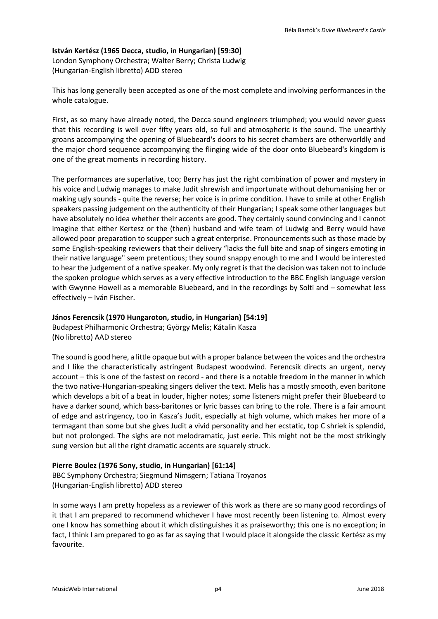## **István Kertész (1965 Decca, studio, in Hungarian) [59:30]**

London Symphony Orchestra; Walter Berry; Christa Ludwig (Hungarian-English libretto) ADD stereo

This has long generally been accepted as one of the most complete and involving performances in the whole catalogue.

First, as so many have already noted, the Decca sound engineers triumphed; you would never guess that this recording is well over fifty years old, so full and atmospheric is the sound. The unearthly groans accompanying the opening of Bluebeard's doors to his secret chambers are otherworldly and the major chord sequence accompanying the flinging wide of the door onto Bluebeard's kingdom is one of the great moments in recording history.

The performances are superlative, too; Berry has just the right combination of power and mystery in his voice and Ludwig manages to make Judit shrewish and importunate without dehumanising her or making ugly sounds - quite the reverse; her voice is in prime condition. I have to smile at other English speakers passing judgement on the authenticity of their Hungarian; I speak some other languages but have absolutely no idea whether their accents are good. They certainly sound convincing and I cannot imagine that either Kertesz or the (then) husband and wife team of Ludwig and Berry would have allowed poor preparation to scupper such a great enterprise. Pronouncements such as those made by some English-speaking reviewers that their delivery "lacks the full bite and snap of singers emoting in their native language" seem pretentious; they sound snappy enough to me and I would be interested to hear the judgement of a native speaker. My only regret is that the decision was taken not to include the spoken prologue which serves as a very effective introduction to the BBC English language version with Gwynne Howell as a memorable Bluebeard, and in the recordings by Solti and – somewhat less effectively – Iván Fischer.

# **János Ferencsik (1970 Hungaroton, studio, in Hungarian) [54:19]**

Budapest Philharmonic Orchestra; György Melis; Kátalin Kasza (No libretto) AAD stereo

The sound is good here, a little opaque but with a proper balance between the voices and the orchestra and I like the characteristically astringent Budapest woodwind. Ferencsik directs an urgent, nervy account – this is one of the fastest on record - and there is a notable freedom in the manner in which the two native-Hungarian-speaking singers deliver the text. Melis has a mostly smooth, even baritone which develops a bit of a beat in louder, higher notes; some listeners might prefer their Bluebeard to have a darker sound, which bass-baritones or lyric basses can bring to the role. There is a fair amount of edge and astringency, too in Kasza's Judit, especially at high volume, which makes her more of a termagant than some but she gives Judit a vivid personality and her ecstatic, top C shriek is splendid, but not prolonged. The sighs are not melodramatic, just eerie. This might not be the most strikingly sung version but all the right dramatic accents are squarely struck.

### **Pierre Boulez (1976 Sony, studio, in Hungarian) [61:14]**

BBC Symphony Orchestra; Siegmund Nimsgern; Tatiana Troyanos (Hungarian-English libretto) ADD stereo

In some ways I am pretty hopeless as a reviewer of this work as there are so many good recordings of it that I am prepared to recommend whichever I have most recently been listening to. Almost every one I know has something about it which distinguishes it as praiseworthy; this one is no exception; in fact, I think I am prepared to go as far as saying that I would place it alongside the classic Kertész as my favourite.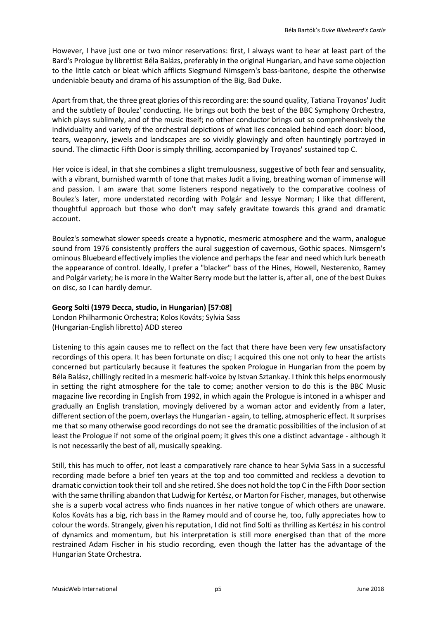However, I have just one or two minor reservations: first, I always want to hear at least part of the Bard's Prologue by librettist Béla Balázs, preferably in the original Hungarian, and have some objection to the little catch or bleat which afflicts Siegmund Nimsgern's bass-baritone, despite the otherwise undeniable beauty and drama of his assumption of the Big, Bad Duke.

Apart from that, the three great glories of this recording are: the sound quality, Tatiana Troyanos' Judit and the subtlety of Boulez' conducting. He brings out both the best of the BBC Symphony Orchestra, which plays sublimely, and of the music itself; no other conductor brings out so comprehensively the individuality and variety of the orchestral depictions of what lies concealed behind each door: blood, tears, weaponry, jewels and landscapes are so vividly glowingly and often hauntingly portrayed in sound. The climactic Fifth Door is simply thrilling, accompanied by Troyanos' sustained top C.

Her voice is ideal, in that she combines a slight tremulousness, suggestive of both fear and sensuality, with a vibrant, burnished warmth of tone that makes Judit a living, breathing woman of immense will and passion. I am aware that some listeners respond negatively to the comparative coolness of Boulez's later, more understated recording with Polgár and Jessye Norman; I like that different, thoughtful approach but those who don't may safely gravitate towards this grand and dramatic account.

Boulez's somewhat slower speeds create a hypnotic, mesmeric atmosphere and the warm, analogue sound from 1976 consistently proffers the aural suggestion of cavernous, Gothic spaces. Nimsgern's ominous Bluebeard effectively implies the violence and perhaps the fear and need which lurk beneath the appearance of control. Ideally, I prefer a "blacker" bass of the Hines, Howell, Nesterenko, Ramey and Polgár variety; he is more in the Walter Berry mode but the latter is, after all, one of the best Dukes on disc, so I can hardly demur.

## **Georg Solti (1979 Decca, studio, in Hungarian) [57:08]**

London Philharmonic Orchestra; Kolos Kováts; Sylvia Sass (Hungarian-English libretto) ADD stereo

Listening to this again causes me to reflect on the fact that there have been very few unsatisfactory recordings of this opera. It has been fortunate on disc; I acquired this one not only to hear the artists concerned but particularly because it features the spoken Prologue in Hungarian from the poem by Béla Balász, chillingly recited in a mesmeric half-voice by Istvan Sztankay. I think this helps enormously in setting the right atmosphere for the tale to come; another version to do this is the BBC Music magazine live recording in English from 1992, in which again the Prologue is intoned in a whisper and gradually an English translation, movingly delivered by a woman actor and evidently from a later, different section of the poem, overlays the Hungarian - again, to telling, atmospheric effect. It surprises me that so many otherwise good recordings do not see the dramatic possibilities of the inclusion of at least the Prologue if not some of the original poem; it gives this one a distinct advantage - although it is not necessarily the best of all, musically speaking.

Still, this has much to offer, not least a comparatively rare chance to hear Sylvia Sass in a successful recording made before a brief ten years at the top and too committed and reckless a devotion to dramatic conviction took their toll and she retired. She does not hold the top C in the Fifth Door section with the same thrilling abandon that Ludwig for Kertész, or Marton for Fischer, manages, but otherwise she is a superb vocal actress who finds nuances in her native tongue of which others are unaware. Kolos Kováts has a big, rich bass in the Ramey mould and of course he, too, fully appreciates how to colour the words. Strangely, given his reputation, I did not find Solti as thrilling as Kertész in his control of dynamics and momentum, but his interpretation is still more energised than that of the more restrained Adam Fischer in his studio recording, even though the latter has the advantage of the Hungarian State Orchestra.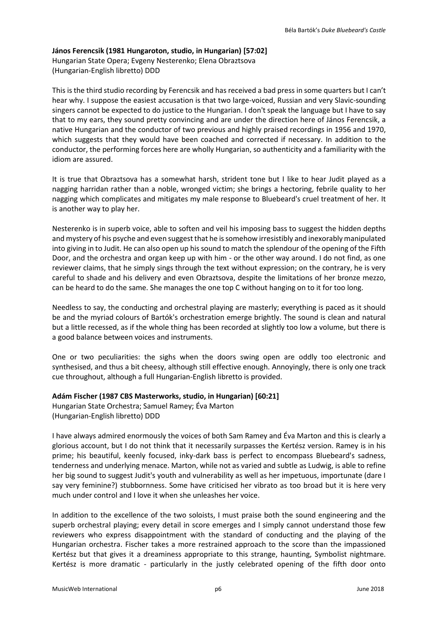#### **János Ferencsik (1981 Hungaroton, studio, in Hungarian) [57:02]**

Hungarian State Opera; Evgeny Nesterenko; Elena Obraztsova (Hungarian-English libretto) DDD

This is the third studio recording by Ferencsik and has received a bad press in some quarters but I can't hear why. I suppose the easiest accusation is that two large-voiced, Russian and very Slavic-sounding singers cannot be expected to do justice to the Hungarian. I don't speak the language but I have to say that to my ears, they sound pretty convincing and are under the direction here of János Ferencsik, a native Hungarian and the conductor of two previous and highly praised recordings in 1956 and 1970, which suggests that they would have been coached and corrected if necessary. In addition to the conductor, the performing forces here are wholly Hungarian, so authenticity and a familiarity with the idiom are assured.

It is true that Obraztsova has a somewhat harsh, strident tone but I like to hear Judit played as a nagging harridan rather than a noble, wronged victim; she brings a hectoring, febrile quality to her nagging which complicates and mitigates my male response to Bluebeard's cruel treatment of her. It is another way to play her.

Nesterenko is in superb voice, able to soften and veil his imposing bass to suggest the hidden depths and mystery of his psyche and even suggest that he is somehow irresistibly and inexorably manipulated into giving in to Judit. He can also open up his sound to match the splendour of the opening of the Fifth Door, and the orchestra and organ keep up with him - or the other way around. I do not find, as one reviewer claims, that he simply sings through the text without expression; on the contrary, he is very careful to shade and his delivery and even Obraztsova, despite the limitations of her bronze mezzo, can be heard to do the same. She manages the one top C without hanging on to it for too long.

Needless to say, the conducting and orchestral playing are masterly; everything is paced as it should be and the myriad colours of Bartók's orchestration emerge brightly. The sound is clean and natural but a little recessed, as if the whole thing has been recorded at slightly too low a volume, but there is a good balance between voices and instruments.

One or two peculiarities: the sighs when the doors swing open are oddly too electronic and synthesised, and thus a bit cheesy, although still effective enough. Annoyingly, there is only one track cue throughout, although a full Hungarian-English libretto is provided.

### **Adám Fischer (1987 CBS Masterworks, studio, in Hungarian) [60:21]**

Hungarian State Orchestra; Samuel Ramey; Éva Marton (Hungarian-English libretto) DDD

I have always admired enormously the voices of both Sam Ramey and Éva Marton and this is clearly a glorious account, but I do not think that it necessarily surpasses the Kertész version. Ramey is in his prime; his beautiful, keenly focused, inky-dark bass is perfect to encompass Bluebeard's sadness, tenderness and underlying menace. Marton, while not as varied and subtle as Ludwig, is able to refine her big sound to suggest Judit's youth and vulnerability as well as her impetuous, importunate (dare I say very feminine?) stubbornness. Some have criticised her vibrato as too broad but it is here very much under control and I love it when she unleashes her voice.

In addition to the excellence of the two soloists, I must praise both the sound engineering and the superb orchestral playing; every detail in score emerges and I simply cannot understand those few reviewers who express disappointment with the standard of conducting and the playing of the Hungarian orchestra. Fischer takes a more restrained approach to the score than the impassioned Kertész but that gives it a dreaminess appropriate to this strange, haunting, Symbolist nightmare. Kertész is more dramatic - particularly in the justly celebrated opening of the fifth door onto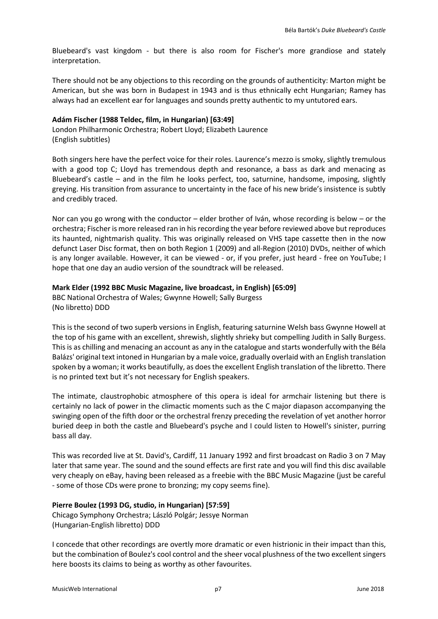Bluebeard's vast kingdom - but there is also room for Fischer's more grandiose and stately interpretation.

There should not be any objections to this recording on the grounds of authenticity: Marton might be American, but she was born in Budapest in 1943 and is thus ethnically echt Hungarian; Ramey has always had an excellent ear for languages and sounds pretty authentic to my untutored ears.

## **Adám Fischer (1988 Teldec, film, in Hungarian) [63:49]**

London Philharmonic Orchestra; Robert Lloyd; Elizabeth Laurence (English subtitles)

Both singers here have the perfect voice for their roles. Laurence's mezzo is smoky, slightly tremulous with a good top C; Lloyd has tremendous depth and resonance, a bass as dark and menacing as Bluebeard's castle – and in the film he looks perfect, too, saturnine, handsome, imposing, slightly greying. His transition from assurance to uncertainty in the face of his new bride's insistence is subtly and credibly traced.

Nor can you go wrong with the conductor – elder brother of Iván, whose recording is below – or the orchestra; Fischer is more released ran in his recording the year before reviewed above but reproduces its haunted, nightmarish quality. This was originally released on VHS tape cassette then in the now defunct Laser Disc format, then on both Region 1 (2009) and all-Region (2010) DVDs, neither of which is any longer available. However, it can be viewed - or, if you prefer, just heard - free on YouTube; I hope that one day an audio version of the soundtrack will be released.

## **Mark Elder (1992 BBC Music Magazine, live broadcast, in English) [65:09]**

BBC National Orchestra of Wales; Gwynne Howell; Sally Burgess (No libretto) DDD

This is the second of two superb versions in English, featuring saturnine Welsh bass Gwynne Howell at the top of his game with an excellent, shrewish, slightly shrieky but compelling Judith in Sally Burgess. This is as chilling and menacing an account as any in the catalogue and starts wonderfully with the Béla Balázs' original text intoned in Hungarian by a male voice, gradually overlaid with an English translation spoken by a woman; it works beautifully, as does the excellent English translation of the libretto. There is no printed text but it's not necessary for English speakers.

The intimate, claustrophobic atmosphere of this opera is ideal for armchair listening but there is certainly no lack of power in the climactic moments such as the C major diapason accompanying the swinging open of the fifth door or the orchestral frenzy preceding the revelation of yet another horror buried deep in both the castle and Bluebeard's psyche and I could listen to Howell's sinister, purring bass all day.

This was recorded live at St. David's, Cardiff, 11 January 1992 and first broadcast on Radio 3 on 7 May later that same year. The sound and the sound effects are first rate and you will find this disc available very cheaply on eBay, having been released as a freebie with the BBC Music Magazine (just be careful - some of those CDs were prone to bronzing; my copy seems fine).

# **Pierre Boulez (1993 DG, studio, in Hungarian) [57:59]**

Chicago Symphony Orchestra; László Polgár; Jessye Norman (Hungarian-English libretto) DDD

I concede that other recordings are overtly more dramatic or even histrionic in their impact than this, but the combination of Boulez's cool control and the sheer vocal plushness of the two excellent singers here boosts its claims to being as worthy as other favourites.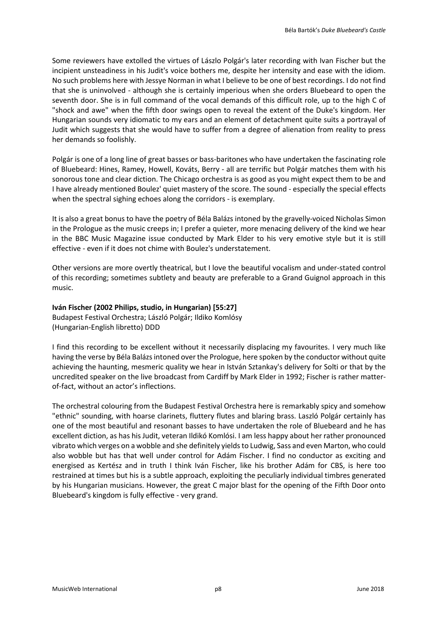Some reviewers have extolled the virtues of Lászlo Polgár's later recording with Ivan Fischer but the incipient unsteadiness in his Judit's voice bothers me, despite her intensity and ease with the idiom. No such problems here with Jessye Norman in what I believe to be one of best recordings. I do not find that she is uninvolved - although she is certainly imperious when she orders Bluebeard to open the seventh door. She is in full command of the vocal demands of this difficult role, up to the high C of "shock and awe" when the fifth door swings open to reveal the extent of the Duke's kingdom. Her Hungarian sounds very idiomatic to my ears and an element of detachment quite suits a portrayal of Judit which suggests that she would have to suffer from a degree of alienation from reality to press her demands so foolishly.

Polgár is one of a long line of great basses or bass-baritones who have undertaken the fascinating role of Bluebeard: Hines, Ramey, Howell, Kováts, Berry - all are terrific but Polgár matches them with his sonorous tone and clear diction. The Chicago orchestra is as good as you might expect them to be and I have already mentioned Boulez' quiet mastery of the score. The sound - especially the special effects when the spectral sighing echoes along the corridors - is exemplary.

It is also a great bonus to have the poetry of Béla Balázs intoned by the gravelly-voiced Nicholas Simon in the Prologue as the music creeps in; I prefer a quieter, more menacing delivery of the kind we hear in the BBC Music Magazine issue conducted by Mark Elder to his very emotive style but it is still effective - even if it does not chime with Boulez's understatement.

Other versions are more overtly theatrical, but I love the beautiful vocalism and under-stated control of this recording; sometimes subtlety and beauty are preferable to a Grand Guignol approach in this music.

### **Iván Fischer (2002 Philips, studio, in Hungarian) [55:27]**

Budapest Festival Orchestra; László Polgár; Ildiko Komlósy (Hungarian-English libretto) DDD

I find this recording to be excellent without it necessarily displacing my favourites. I very much like having the verse by Béla Balázs intoned over the Prologue, here spoken by the conductor without quite achieving the haunting, mesmeric quality we hear in István Sztankay's delivery for Solti or that by the uncredited speaker on the live broadcast from Cardiff by Mark Elder in 1992; Fischer is rather matterof-fact, without an actor's inflections.

The orchestral colouring from the Budapest Festival Orchestra here is remarkably spicy and somehow "ethnic" sounding, with hoarse clarinets, fluttery flutes and blaring brass. Laszló Polgár certainly has one of the most beautiful and resonant basses to have undertaken the role of Bluebeard and he has excellent diction, as has his Judit, veteran Ildikó Komlósi. I am less happy about her rather pronounced vibrato which verges on a wobble and she definitely yields to Ludwig, Sass and even Marton, who could also wobble but has that well under control for Adám Fischer. I find no conductor as exciting and energised as Kertész and in truth I think Iván Fischer, like his brother Adám for CBS, is here too restrained at times but his is a subtle approach, exploiting the peculiarly individual timbres generated by his Hungarian musicians. However, the great C major blast for the opening of the Fifth Door onto Bluebeard's kingdom is fully effective - very grand.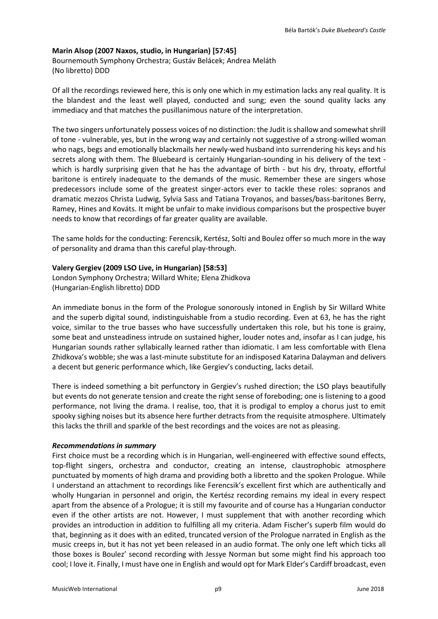### **Marin Alsop (2007 Naxos, studio, in Hungarian) [57:45]**

Bournemouth Symphony Orchestra; Gustáv Belácek; Andrea Meláth (No libretto) DDD

Of all the recordings reviewed here, this is only one which in my estimation lacks any real quality. It is the blandest and the least well played, conducted and sung; even the sound quality lacks any immediacy and that matches the pusillanimous nature of the interpretation.

The two singers unfortunately possess voices of no distinction: the Judit is shallow and somewhat shrill of tone - vulnerable, yes, but in the wrong way and certainly not suggestive of a strong-willed woman who nags, begs and emotionally blackmails her newly-wed husband into surrendering his keys and his secrets along with them. The Bluebeard is certainly Hungarian-sounding in his delivery of the text which is hardly surprising given that he has the advantage of birth - but his dry, throaty, effortful baritone is entirely inadequate to the demands of the music. Remember these are singers whose predecessors include some of the greatest singer-actors ever to tackle these roles: sopranos and dramatic mezzos Christa Ludwig, Sylvia Sass and Tatiana Troyanos, and basses/bass-baritones Berry, Ramey, Hines and Kováts. It might be unfair to make invidious comparisons but the prospective buyer needs to know that recordings of far greater quality are available.

The same holds for the conducting: Ferencsik, Kertész, Solti and Boulez offer so much more in the way of personality and drama than this careful play-through.

### **Valery Gergiev (2009 LSO Live, in Hungarian) [58:53]**

London Symphony Orchestra; Willard White; Elena Zhidkova (Hungarian-English libretto) DDD

An immediate bonus in the form of the Prologue sonorously intoned in English by Sir Willard White and the superb digital sound, indistinguishable from a studio recording. Even at 63, he has the right voice, similar to the true basses who have successfully undertaken this role, but his tone is grainy, some beat and unsteadiness intrude on sustained higher, louder notes and, insofar as I can judge, his Hungarian sounds rather syllabically learned rather than idiomatic. I am less comfortable with Elena Zhidkova's wobble; she was a last-minute substitute for an indisposed Katarina Dalayman and delivers a decent but generic performance which, like Gergiev's conducting, lacks detail.

There is indeed something a bit perfunctory in Gergiev's rushed direction; the LSO plays beautifully but events do not generate tension and create the right sense of foreboding; one is listening to a good performance, not living the drama. I realise, too, that it is prodigal to employ a chorus just to emit spooky sighing noises but its absence here further detracts from the requisite atmosphere. Ultimately this lacks the thrill and sparkle of the best recordings and the voices are not as pleasing.

### *Recommendations in summary*

First choice must be a recording which is in Hungarian, well-engineered with effective sound effects, top-flight singers, orchestra and conductor, creating an intense, claustrophobic atmosphere punctuated by moments of high drama and providing both a libretto and the spoken Prologue. While I understand an attachment to recordings like Ferencsik's excellent first which are authentically and wholly Hungarian in personnel and origin, the Kertész recording remains my ideal in every respect apart from the absence of a Prologue; it is still my favourite and of course has a Hungarian conductor even if the other artists are not. However, I must supplement that with another recording which provides an introduction in addition to fulfilling all my criteria. Adam Fischer's superb film would do that, beginning as it does with an edited, truncated version of the Prologue narrated in English as the music creeps in, but it has not yet been released in an audio format. The only one left which ticks all those boxes is Boulez' second recording with Jessye Norman but some might find his approach too cool; I love it. Finally, I must have one in English and would opt for Mark Elder's Cardiff broadcast, even